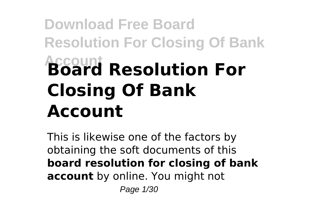# **Download Free Board Resolution For Closing Of Bank Account Board Resolution For Closing Of Bank Account**

This is likewise one of the factors by obtaining the soft documents of this **board resolution for closing of bank account** by online. You might not Page 1/30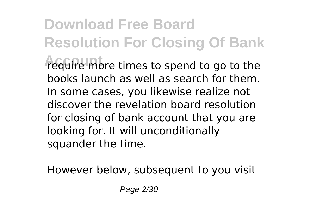**Download Free Board Resolution For Closing Of Bank Account** require more times to spend to go to the books launch as well as search for them. In some cases, you likewise realize not discover the revelation board resolution for closing of bank account that you are looking for. It will unconditionally squander the time.

However below, subsequent to you visit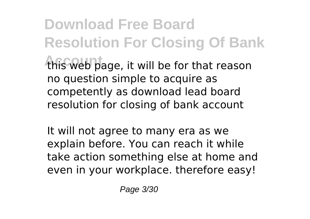**Download Free Board Resolution For Closing Of Bank** this web page, it will be for that reason no question simple to acquire as competently as download lead board resolution for closing of bank account

It will not agree to many era as we explain before. You can reach it while take action something else at home and even in your workplace. therefore easy!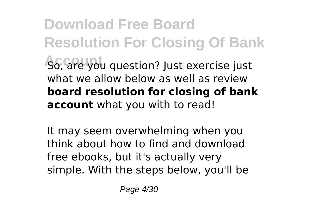**Download Free Board Resolution For Closing Of Bank So, are you question? Just exercise just** what we allow below as well as review **board resolution for closing of bank account** what you with to read!

It may seem overwhelming when you think about how to find and download free ebooks, but it's actually very simple. With the steps below, you'll be

Page 4/30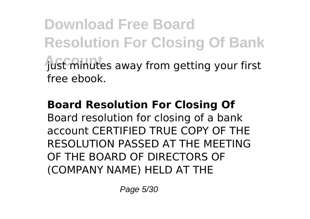**Download Free Board Resolution For Closing Of Bank** fust minutes away from getting your first free ebook.

#### **Board Resolution For Closing Of**

Board resolution for closing of a bank account CERTIFIED TRUE COPY OF THE RESOLUTION PASSED AT THE MEETING OF THE BOARD OF DIRECTORS OF (COMPANY NAME) HELD AT THE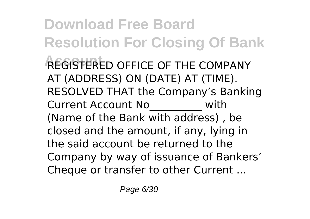**Download Free Board Resolution For Closing Of Bank AFGISTERED OFFICE OF THE COMPANY** AT (ADDRESS) ON (DATE) AT (TIME). RESOLVED THAT the Company's Banking Current Account No\_\_\_\_\_\_\_\_\_\_ with (Name of the Bank with address) , be closed and the amount, if any, lying in the said account be returned to the Company by way of issuance of Bankers' Cheque or transfer to other Current ...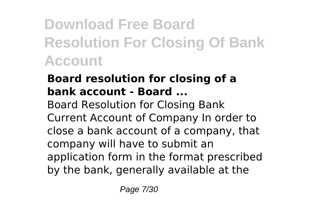## **Download Free Board Resolution For Closing Of Bank Account**

#### **Board resolution for closing of a bank account - Board ...**

Board Resolution for Closing Bank Current Account of Company In order to close a bank account of a company, that company will have to submit an application form in the format prescribed by the bank, generally available at the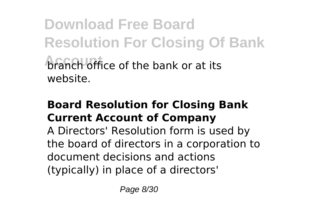**Download Free Board Resolution For Closing Of Bank Aranch office of the bank or at its** website.

#### **Board Resolution for Closing Bank Current Account of Company**

A Directors' Resolution form is used by the board of directors in a corporation to document decisions and actions (typically) in place of a directors'

Page 8/30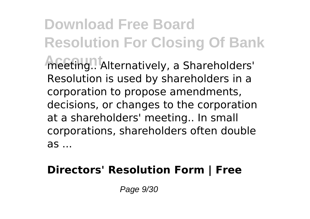**Download Free Board Resolution For Closing Of Bank** meeting..<sup>1</sup> Alternatively, a Shareholders' Resolution is used by shareholders in a corporation to propose amendments, decisions, or changes to the corporation at a shareholders' meeting.. In small corporations, shareholders often double as ...

#### **Directors' Resolution Form | Free**

Page 9/30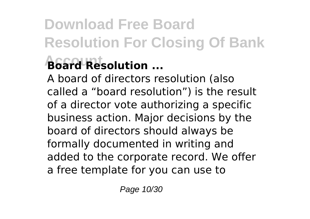# **Download Free Board Resolution For Closing Of Bank**

### **Account Board Resolution ...**

A board of directors resolution (also called a "board resolution") is the result of a director vote authorizing a specific business action. Major decisions by the board of directors should always be formally documented in writing and added to the corporate record. We offer a free template for you can use to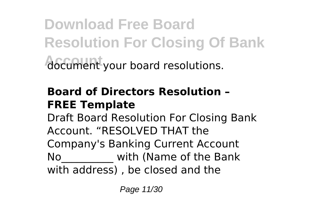**Download Free Board Resolution For Closing Of Bank Account** document your board resolutions.

#### **Board of Directors Resolution – FREE Template**

Draft Board Resolution For Closing Bank Account. "RESOLVED THAT the Company's Banking Current Account No with (Name of the Bank with address) , be closed and the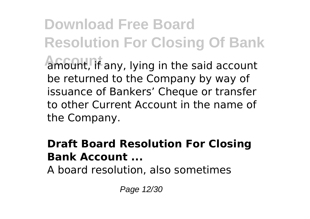**Download Free Board Resolution For Closing Of Bank** amount, if any, lying in the said account be returned to the Company by way of issuance of Bankers' Cheque or transfer to other Current Account in the name of the Company.

#### **Draft Board Resolution For Closing Bank Account ...**

A board resolution, also sometimes

Page 12/30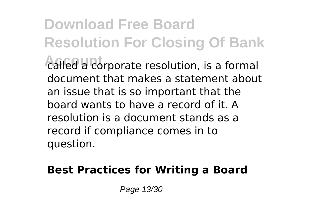**Download Free Board Resolution For Closing Of Bank** called a corporate resolution, is a formal document that makes a statement about an issue that is so important that the board wants to have a record of it. A resolution is a document stands as a record if compliance comes in to question.

#### **Best Practices for Writing a Board**

Page 13/30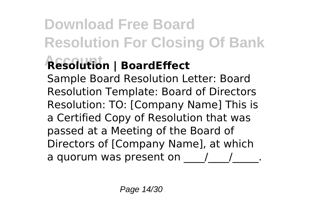## **Download Free Board Resolution For Closing Of Bank**

## **Account Resolution | BoardEffect**

Sample Board Resolution Letter: Board Resolution Template: Board of Directors Resolution: TO: [Company Name] This is a Certified Copy of Resolution that was passed at a Meeting of the Board of Directors of [Company Name], at which a quorum was present on  $\frac{1}{2}$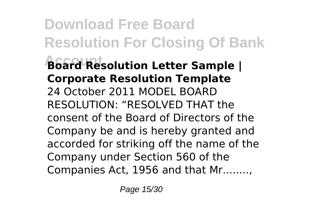**Download Free Board Resolution For Closing Of Bank Account Board Resolution Letter Sample | Corporate Resolution Template** 24 October 2011 MODEL BOARD RESOLUTION: "RESOLVED THAT the consent of the Board of Directors of the Company be and is hereby granted and accorded for striking off the name of the Company under Section 560 of the Companies Act, 1956 and that Mr........,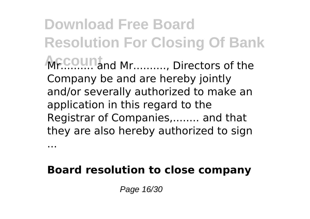**Download Free Board Resolution For Closing Of Bank ACCOUNT** and Mr.........., Directors of the Company be and are hereby jointly and/or severally authorized to make an application in this regard to the Registrar of Companies,........ and that they are also hereby authorized to sign

#### **Board resolution to close company**

Page 16/30

...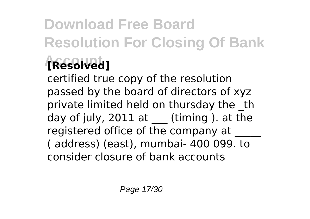## **Download Free Board Resolution For Closing Of Bank Account [Resolved]**

certified true copy of the resolution passed by the board of directors of xyz private limited held on thursday the the day of july,  $2011$  at (timing ). at the registered office of the company at ( address) (east), mumbai- 400 099. to consider closure of bank accounts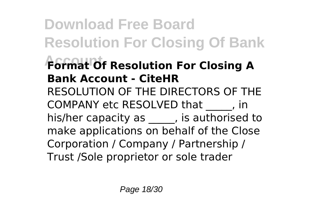**Download Free Board Resolution For Closing Of Bank Account Format Of Resolution For Closing A Bank Account - CiteHR** RESOLUTION OF THE DIRECTORS OF THE COMPANY etc RESOLVED that \_\_\_\_\_, in his/her capacity as , is authorised to make applications on behalf of the Close Corporation / Company / Partnership / Trust /Sole proprietor or sole trader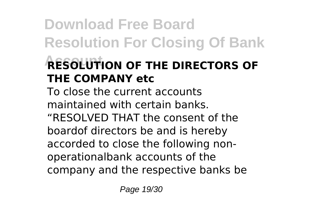## **Download Free Board Resolution For Closing Of Bank Account RESOLUTION OF THE DIRECTORS OF THE COMPANY etc**

To close the current accounts maintained with certain banks. "RESOLVED THAT the consent of the boardof directors be and is hereby accorded to close the following nonoperationalbank accounts of the company and the respective banks be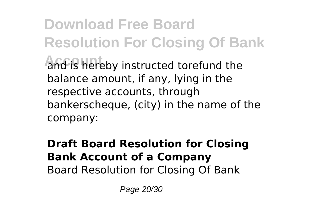**Download Free Board Resolution For Closing Of Bank** and is hereby instructed torefund the balance amount, if any, lying in the respective accounts, through bankerscheque, (city) in the name of the company:

#### **Draft Board Resolution for Closing Bank Account of a Company** Board Resolution for Closing Of Bank

Page 20/30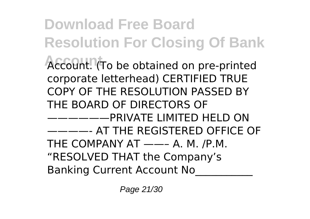**Download Free Board Resolution For Closing Of Bank** Account. (To be obtained on pre-printed corporate letterhead) CERTIFIED TRUE COPY OF THE RESOLUTION PASSED BY THE BOARD OF DIRECTORS OF ——————PRIVATE LIMITED HELD ON ————- AT THE REGISTERED OFFICE OF THE COMPANY AT ——– A. M. /P.M. "RESOLVED THAT the Company's Banking Current Account No\_\_\_\_\_\_\_\_\_\_\_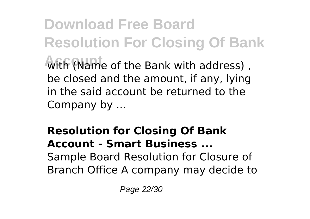**Download Free Board Resolution For Closing Of Bank Account** with (Name of the Bank with address) , be closed and the amount, if any, lying in the said account be returned to the Company by ...

#### **Resolution for Closing Of Bank Account - Smart Business ...** Sample Board Resolution for Closure of Branch Office A company may decide to

Page 22/30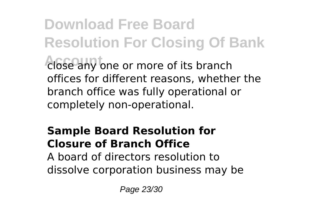**Download Free Board Resolution For Closing Of Bank Account** close any one or more of its branch offices for different reasons, whether the branch office was fully operational or completely non-operational.

### **Sample Board Resolution for Closure of Branch Office**

A board of directors resolution to dissolve corporation business may be

Page 23/30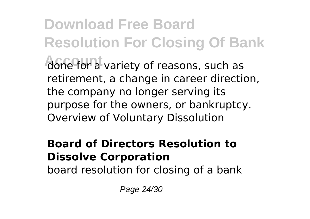**Download Free Board Resolution For Closing Of Bank Account** done for a variety of reasons, such as retirement, a change in career direction, the company no longer serving its purpose for the owners, or bankruptcy. Overview of Voluntary Dissolution

#### **Board of Directors Resolution to Dissolve Corporation**

board resolution for closing of a bank

Page 24/30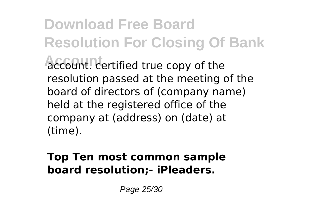**Download Free Board Resolution For Closing Of Bank Account**. certified true copy of the resolution passed at the meeting of the board of directors of (company name) held at the registered office of the company at (address) on (date) at (time).

#### **Top Ten most common sample board resolution;- iPleaders.**

Page 25/30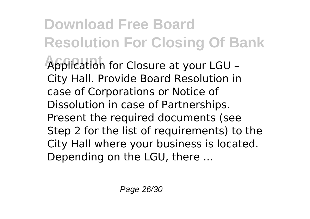**Download Free Board Resolution For Closing Of Bank Account** Application for Closure at your LGU – City Hall. Provide Board Resolution in case of Corporations or Notice of Dissolution in case of Partnerships. Present the required documents (see Step 2 for the list of requirements) to the City Hall where your business is located. Depending on the LGU, there ...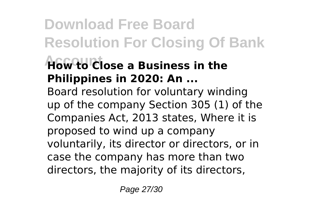## **Download Free Board Resolution For Closing Of Bank**

### **Account How to Close a Business in the Philippines in 2020: An ...**

Board resolution for voluntary winding up of the company Section 305 (1) of the Companies Act, 2013 states, Where it is proposed to wind up a company voluntarily, its director or directors, or in case the company has more than two directors, the majority of its directors,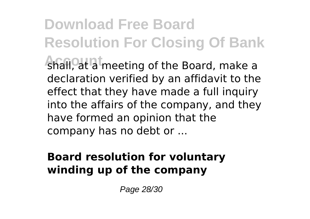**Download Free Board Resolution For Closing Of Bank** shall, at a meeting of the Board, make a declaration verified by an affidavit to the effect that they have made a full inquiry into the affairs of the company, and they have formed an opinion that the company has no debt or ...

#### **Board resolution for voluntary winding up of the company**

Page 28/30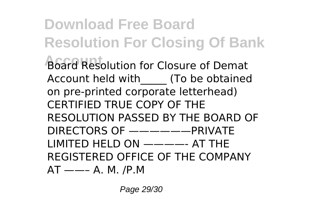**Download Free Board Resolution For Closing Of Bank Board Resolution for Closure of Demat** Account held with (To be obtained on pre-printed corporate letterhead) CERTIFIED TRUE COPY OF THE RESOLUTION PASSED BY THE BOARD OF DIRECTORS OF ——————PRIVATE LIMITED HELD ON ————- AT THE REGISTERED OFFICE OF THE COMPANY  $AT$  ——– A. M. /P.M

Page 29/30